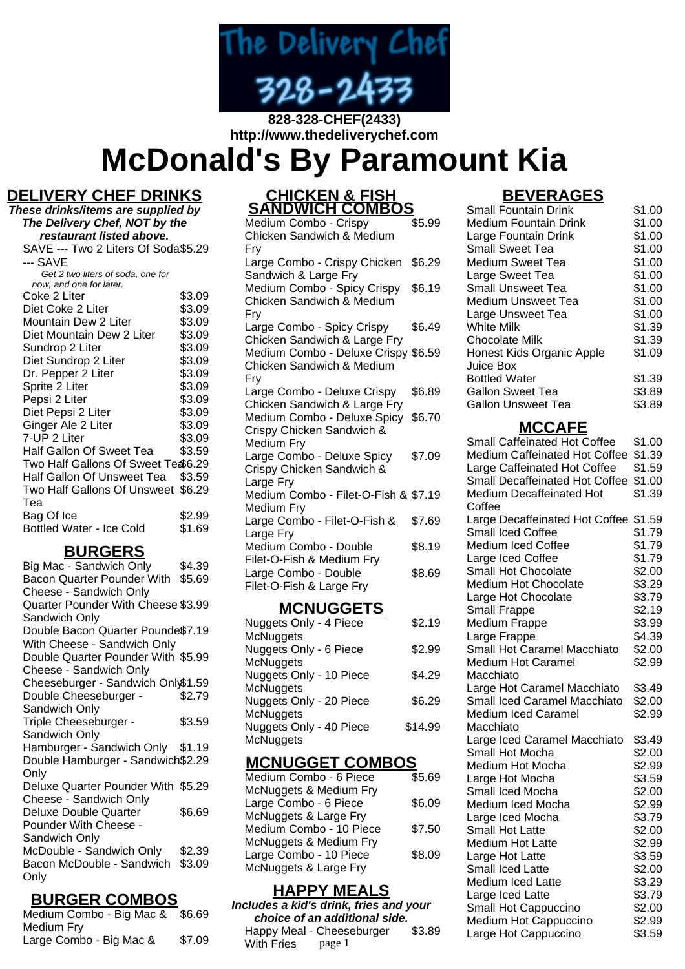

# **http://www.thedeliverychef.com McDonald's By Paramount Kia**

### **DELIVERY CHEF DRINKS**

| These drinks/items are supplied by                        |        |  |
|-----------------------------------------------------------|--------|--|
| The Delivery Chef, NOT by the<br>restaurant listed above. |        |  |
| SAVE --- Two 2 Liters Of Soda\$5.29                       |        |  |
| --- SAVE                                                  |        |  |
| Get 2 two liters of soda, one for                         |        |  |
| now, and one for later.                                   |        |  |
| Coke 2 Liter                                              | \$3.09 |  |
| Diet Coke 2 Liter                                         | \$3.09 |  |
| Mountain Dew 2 Liter                                      | \$3.09 |  |
| Diet Mountain Dew 2 Liter                                 | \$3.09 |  |
| Sundrop 2 Liter                                           | \$3.09 |  |
| Diet Sundrop 2 Liter                                      | \$3.09 |  |
| Dr. Pepper 2 Liter                                        | \$3.09 |  |
| Sprite 2 Liter                                            | \$3.09 |  |
| Pepsi 2 Liter                                             | \$3.09 |  |
| Diet Pepsi 2 Liter                                        | \$3.09 |  |
| Ginger Ale 2 Liter                                        | \$3.09 |  |
| 7-UP 2 Liter                                              | \$3.09 |  |
| Half Gallon Of Sweet Tea                                  | \$3.59 |  |
| Two Half Gallons Of Sweet Te \$6.29                       |        |  |
| Half Gallon Of Unsweet Tea                                | \$3.59 |  |
| Two Half Gallons Of Unsweet                               | \$6.29 |  |
| Теа                                                       |        |  |
| Bag Of Ice                                                | \$2.99 |  |
| Bottled Water - Ice Cold                                  | \$1.69 |  |

### **BURGERS**

| Big Mac - Sandwich Only            | \$4.39 |
|------------------------------------|--------|
| Bacon Quarter Pounder With         | \$5.69 |
| Cheese - Sandwich Only             |        |
| Quarter Pounder With Cheese \$3.99 |        |
| Sandwich Only                      |        |
| Double Bacon Quarter Pounde\$7.19  |        |
| With Cheese - Sandwich Only        |        |
| Double Quarter Pounder With \$5.99 |        |
| Cheese - Sandwich Only             |        |
| Cheeseburger - Sandwich Only\$1.59 |        |
| Double Cheeseburger -              | \$2.79 |
| Sandwich Only                      |        |
| Triple Cheeseburger -              | \$3.59 |
| Sandwich Only                      |        |
| Hamburger - Sandwich Only \$1.19   |        |
| Double Hamburger - Sandwich\$2.29  |        |
| Only                               |        |
| Deluxe Quarter Pounder With \$5.29 |        |
| Cheese - Sandwich Only             |        |
| Deluxe Double Quarter              | \$6.69 |
| Pounder With Cheese -              |        |
| Sandwich Only                      |        |
| McDouble - Sandwich Only           | \$2.39 |
| Bacon McDouble - Sandwich          | \$3.09 |
| Only                               |        |
|                                    |        |

### **BURGER COMBOS**

| Medium Combo - Big Mac & | \$6.69 |
|--------------------------|--------|
| Medium Fry               |        |
| Large Combo - Big Mac &  | \$7.09 |

### **CHICKEN & FISH SANDWICH COMBOS**

Medium Combo - Crispy Chicken Sandwich & Medium Fry \$5.99 Large Combo - Crispy Chicken \$6.29 Sandwich & Large Fry Medium Combo - Spicy Crispy \$6.19 Chicken Sandwich & Medium Fry Large Combo - Spicy Crispy Chicken Sandwich & Large Fry \$6.49 Medium Combo - Deluxe Crispy \$6.59 Chicken Sandwich & Medium Fry Large Combo - Deluxe Crispy Chicken Sandwich & Large Fry \$6.89 Medium Combo - Deluxe Spicy \$6.70 Crispy Chicken Sandwich & Medium Fry Large Combo - Deluxe Spicy Crispy Chicken Sandwich & Large Fry \$7.09 Medium Combo - Filet-O-Fish & \$7.19 Medium Fry Large Combo - Filet-O-Fish & Large Fry \$7.69 Medium Combo - Double Filet-O-Fish & Medium Fry \$8.19 Large Combo - Double Filet-O-Fish & Large Fry \$8.69

#### **MCNUGGETS**

| Nuggets Only - 4 Piece  | \$2.19  |
|-------------------------|---------|
| <b>McNuggets</b>        |         |
| Nuggets Only - 6 Piece  | \$2.99  |
| <b>McNuggets</b>        |         |
| Nuggets Only - 10 Piece | \$4.29  |
| McNuggets               |         |
| Nuggets Only - 20 Piece | \$6.29  |
| <b>McNuggets</b>        |         |
| Nuggets Only - 40 Piece | \$14.99 |
| <b>McNuggets</b>        |         |

### **MCNUGGET COMBOS**

| Medium Combo - 6 Piece  | \$5.69 |
|-------------------------|--------|
| McNuggets & Medium Fry  |        |
| Large Combo - 6 Piece   | \$6.09 |
| McNuggets & Large Fry   |        |
| Medium Combo - 10 Piece | \$7.50 |
| McNuggets & Medium Fry  |        |
| Large Combo - 10 Piece  | \$8.09 |
| McNuggets & Large Fry   |        |
|                         |        |

## **HAPPY MEALS**

**Includes a kid's drink, fries and your choice of an additional side.** Happy Meal - Cheeseburger \$3.89

With Fries page 1

# **BEVERAGES**

| <b>Small Fountain Drink</b> | \$1.00 |
|-----------------------------|--------|
| Medium Fountain Drink       | \$1.00 |
| Large Fountain Drink        | \$1.00 |
| <b>Small Sweet Tea</b>      | \$1.00 |
| Medium Sweet Tea            | \$1.00 |
| Large Sweet Tea             | \$1.00 |
| <b>Small Unsweet Tea</b>    | \$1.00 |
| Medium Unsweet Tea          | \$1.00 |
| Large Unsweet Tea           | \$1.00 |
| <b>White Milk</b>           | \$1.39 |
| Chocolate Milk              | \$1.39 |
| Honest Kids Organic Apple   | \$1.09 |
| Juice Box                   |        |
| <b>Bottled Water</b>        | \$1.39 |
| <b>Gallon Sweet Tea</b>     | \$3.89 |
| Gallon Unsweet Tea          | \$3.89 |

#### **MCCAFE**

| <b>Small Caffeinated Hot Coffee</b> | \$1.00 |
|-------------------------------------|--------|
| Medium Caffeinated Hot Coffee       | \$1.39 |
| Large Caffeinated Hot Coffee        | \$1.59 |
| Small Decaffeinated Hot Coffee      | \$1.00 |
| <b>Medium Decaffeinated Hot</b>     | \$1.39 |
| Coffee                              |        |
| Large Decaffeinated Hot Coffee      | \$1.59 |
| <b>Small Iced Coffee</b>            | \$1.79 |
| <b>Medium Iced Coffee</b>           | \$1.79 |
| Large Iced Coffee                   | \$1.79 |
| Small Hot Chocolate                 | \$2.00 |
| Medium Hot Chocolate                | \$3.29 |
| Large Hot Chocolate                 | \$3.79 |
| <b>Small Frappe</b>                 | \$2.19 |
| Medium Frappe                       | \$3.99 |
| Large Frappe                        | \$4.39 |
| Small Hot Caramel Macchiato         | \$2.00 |
| <b>Medium Hot Caramel</b>           | \$2.99 |
| Macchiato                           |        |
| Large Hot Caramel Macchiato         | \$3.49 |
| Small Iced Caramel Macchiato        | \$2.00 |
| <b>Medium Iced Caramel</b>          | \$2.99 |
| Macchiato                           |        |
| Large Iced Caramel Macchiato        | \$3.49 |
| Small Hot Mocha                     | \$2.00 |
| Medium Hot Mocha                    | \$2.99 |
| Large Hot Mocha                     | \$3.59 |
| Small Iced Mocha                    | \$2.00 |
| Medium Iced Mocha                   | \$2.99 |
| Large Iced Mocha                    | \$3.79 |
| <b>Small Hot Latte</b>              | \$2.00 |
| <b>Medium Hot Latte</b>             | \$2.99 |
| Large Hot Latte                     | \$3.59 |
| Small Iced Latte                    | \$2.00 |
| Medium Iced Latte                   | \$3.29 |
| Large Iced Latte                    | \$3.79 |
| Small Hot Cappuccino                | \$2.00 |
| Medium Hot Cappuccino               | \$2.99 |
| Large Hot Cappuccino                | \$3.59 |
|                                     |        |